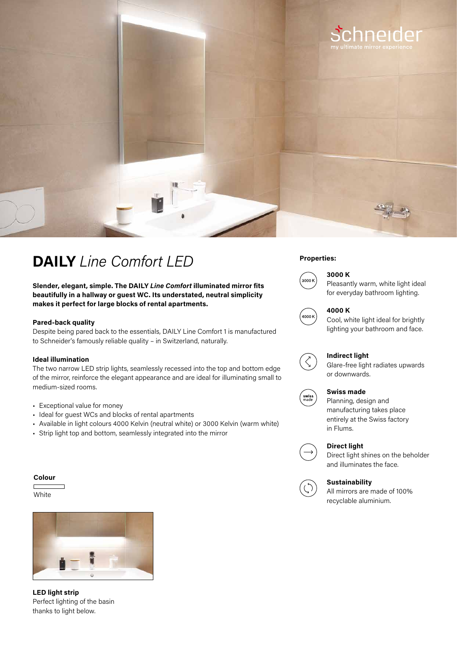

## **Properties: DAILY** *Line Comfort LED*

**Slender, elegant, simple. The DAILY** *Line Comfort* **illuminated mirror fits beautifully in a hallway or guest WC. Its understated, neutral simplicity makes it perfect for large blocks of rental apartments.**

### **Pared-back quality**

Despite being pared back to the essentials, DAILY Line Comfort 1 is manufactured to Schneider's famously reliable quality – in Switzerland, naturally.

### **Ideal illumination**

The two narrow LED strip lights, seamlessly recessed into the top and bottom edge of the mirror, reinforce the elegant appearance and are ideal for illuminating small to medium-sized rooms.

- Exceptional value for money
- Ideal for guest WCs and blocks of rental apartments
- Available in light colours 4000 Kelvin (neutral white) or 3000 Kelvin (warm white)
- Strip light top and bottom, seamlessly integrated into the mirror

### **Colour**

**White** 



**LED light strip**  Perfect lighting of the basin thanks to light below.



### **3000 K**

Pleasantly warm, white light ideal for everyday bathroom lighting.



## **4000 K**

Cool, white light ideal for brightly lighting your bathroom and face.



### **Indirect light**

Glare-free light radiates upwards or downwards.



### **Swiss made**

Planning, design and manufacturing takes place entirely at the Swiss factory in Flums.



### **Direct light**

Direct light shines on the beholder and illuminates the face.



### **Sustainability**

All mirrors are made of 100% recyclable aluminium.